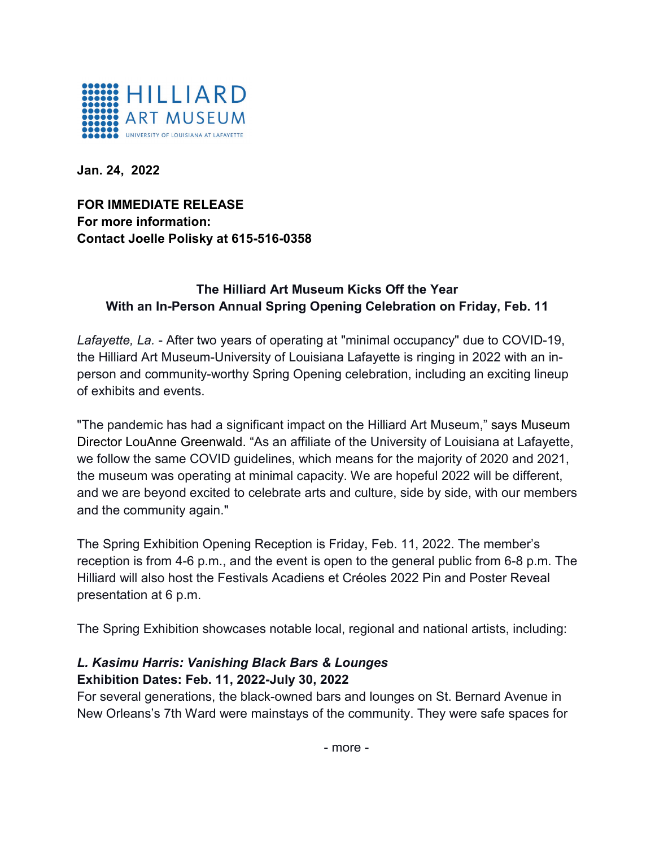

**Jan. 24, 2022**

**FOR IMMEDIATE RELEASE For more information: Contact Joelle Polisky at 615-516-0358**

## **The Hilliard Art Museum Kicks Off the Year With an In-Person Annual Spring Opening Celebration on Friday, Feb. 11**

*Lafayette, La.* - After two years of operating at "minimal occupancy" due to COVID-19, the Hilliard Art Museum-University of Louisiana Lafayette is ringing in 2022 with an inperson and community-worthy Spring Opening celebration, including an exciting lineup of exhibits and events.

"The pandemic has had a significant impact on the Hilliard Art Museum," says Museum Director LouAnne Greenwald. "As an affiliate of the University of Louisiana at Lafayette, we follow the same COVID guidelines, which means for the majority of 2020 and 2021, the museum was operating at minimal capacity. We are hopeful 2022 will be different, and we are beyond excited to celebrate arts and culture, side by side, with our members and the community again."

The Spring Exhibition Opening Reception is Friday, Feb. 11, 2022. The member's reception is from 4-6 p.m., and the event is open to the general public from 6-8 p.m. The Hilliard will also host the Festivals Acadiens et Créoles 2022 Pin and Poster Reveal presentation at 6 p.m.

The Spring Exhibition showcases notable local, regional and national artists, including:

## *L. Kasimu Harris: Vanishing Black Bars & Lounges* **Exhibition Dates: Feb. 11, 2022-July 30, 2022**

For several generations, the black-owned bars and lounges on St. Bernard Avenue in New Orleans's 7th Ward were mainstays of the community. They were safe spaces for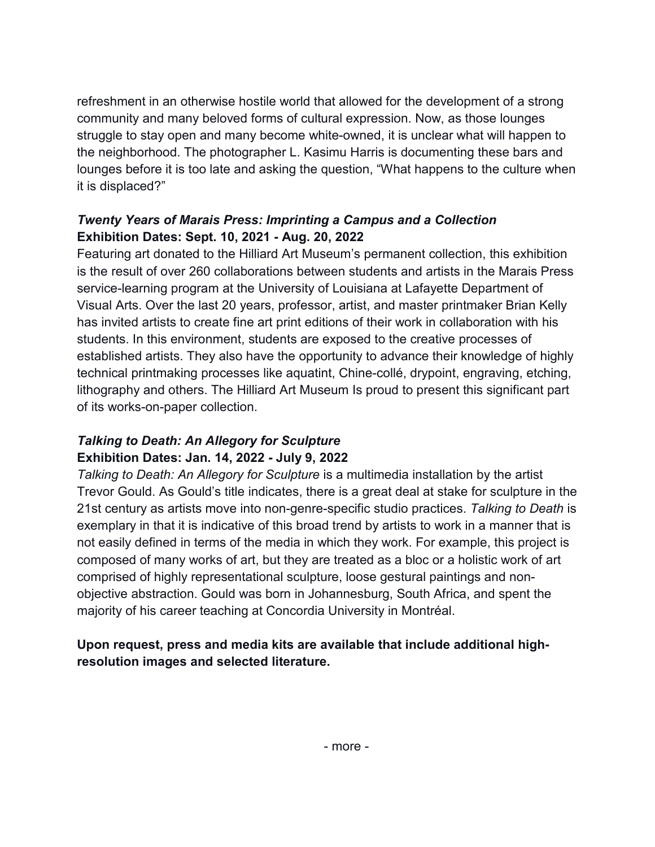refreshment in an otherwise hostile world that allowed for the development of a strong community and many beloved forms of cultural expression. Now, as those lounges struggle to stay open and many become white-owned, it is unclear what will happen to the neighborhood. The photographer L. Kasimu Harris is documenting these bars and lounges before it is too late and asking the question, "What happens to the culture when it is displaced?"

## *Twenty Years of Marais Press: Imprinting a Campus and a Collection* **Exhibition Dates: Sept. 10, 2021 - Aug. 20, 2022**

Featuring art donated to the Hilliard Art Museum's permanent collection, this exhibition is the result of over 260 collaborations between students and artists in the Marais Press service-learning program at the University of Louisiana at Lafayette Department of Visual Arts. Over the last 20 years, professor, artist, and master printmaker Brian Kelly has invited artists to create fine art print editions of their work in collaboration with his students. In this environment, students are exposed to the creative processes of established artists. They also have the opportunity to advance their knowledge of highly technical printmaking processes like aquatint, Chine-collé, drypoint, engraving, etching, lithography and others. The Hilliard Art Museum Is proud to present this significant part of its works-on-paper collection.

# *Talking to Death: An Allegory for Sculpture* **Exhibition Dates: Jan. 14, 2022 - July 9, 2022**

*Talking to Death: An Allegory for Sculpture* is a multimedia installation by the artist Trevor Gould. As Gould's title indicates, there is a great deal at stake for sculpture in the 21st century as artists move into non-genre-specific studio practices. *Talking to Death* is exemplary in that it is indicative of this broad trend by artists to work in a manner that is not easily defined in terms of the media in which they work. For example, this project is composed of many works of art, but they are treated as a bloc or a holistic work of art comprised of highly representational sculpture, loose gestural paintings and nonobjective abstraction. Gould was born in Johannesburg, South Africa, and spent the majority of his career teaching at Concordia University in Montréal.

## **Upon request, press and media kits are available that include additional highresolution images and selected literature.**